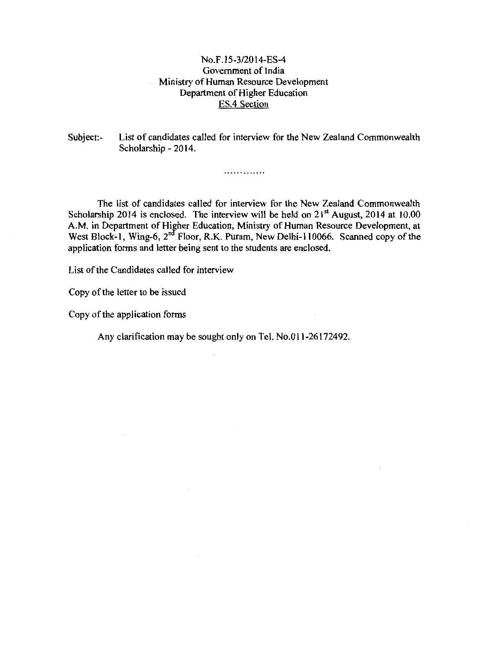# No.F.\5-3/2014-ES-4 Government of India Ministry of Human Resource Development Department of Higher Education ES.4 Section

Subject:- List of candidates called for interview for the New Zealand Commonwealth Scholarship- 2014.

. . . . . . . . . . . . .

The list of candidates called for interview for the New Zealand Commonwealth Scholarship 2014 is enclosed. The interview will be held on  $21<sup>st</sup>$  August, 2014 at 10.00 A.M. in Department of Higher Education, Ministry of Human Resource Development, at West Block-1, Wing-6, 2<sup>nd</sup> Floor, R.K. Puram, New Delhi-110066. Scanned copy of the application forms and letter being sent to the students are enclosed.

List of the Candidates called for interview

Copy of the letter to be issued

Copy of the application forms

Any clarification may be sought only on Tel. No.Oll-26172492.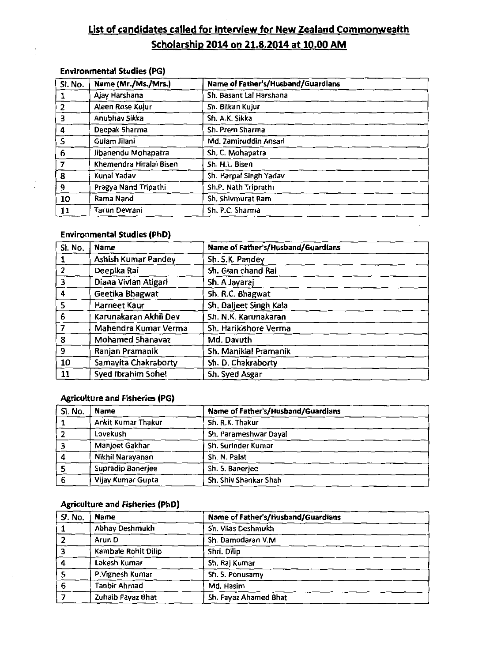# **list of candidates called for interview for New Zealand Commonwealth Scholarship 2014 on 21.8.2014 at 10.00 AM**

# **Environmental Studies (PG)**

| Sl. No.        | Name (Mr./Ms./Mrs.)     | Name of Father's/Husband/Guardians |
|----------------|-------------------------|------------------------------------|
|                | Ajay Harshana           | Sh. Basant Lal Harshana            |
| $\overline{2}$ | Aleen Rose Kujur        | Sh. Bilkan Kujur                   |
| 3              | Anubhav Sikka           | Sh. A.K. Sikka                     |
| 4              | Deepak Sharma           | Sh. Prem Sharma                    |
| 5              | Gulam Jilani            | Md. Zamiruddin Ansari              |
| $\overline{6}$ | Jibanendu Mohapatra     | Sh. C. Mohapatra                   |
| 7              | Khemendra Hiralal Bisen | Sh. H.L. Bisen                     |
| 8              | Kunal Yadav             | Sh. Harpal Singh Yadav             |
| 9              | Pragya Nand Tripathi    | Sh.P. Nath Triprathi               |
| 10             | Rama Nand               | Sh. Shivmurat Ram                  |
| 11             | Tarun Devrani           | Sh. P.C. Sharma                    |

# **Environmental Studies (PhD)**

| Sl. No.                 | <b>Name</b>             | Name of Father's/Husband/Guardians |
|-------------------------|-------------------------|------------------------------------|
|                         | Ashish Kumar Pandey     | Sh. S.K. Pandey                    |
| $\overline{2}$          | Deepika Rai             | Sh. Gian chand Rai                 |
| 3                       | Diana Vivian Atigari    | Sh. A Jayaraj                      |
| $\overline{\mathbf{4}}$ | Geetika Bhagwat         | Sh. R.C. Bhagwat                   |
| 5                       | Harneet Kaur            | Sh. Daljeet Singh Kala             |
| 6                       | Karunakaran Akhil Dev   | Sh. N.K. Karunakaran               |
|                         | Mahendra Kumar Verma    | Sh. Harikishore Verma              |
| 8                       | <b>Mohamed Shanavaz</b> | Md. Davuth                         |
| 9                       | Ranjan Pramanik         | Sh. Maniklal Pramanik              |
| 10                      | Samayita Chakraborty    | Sh. D. Chakraborty                 |
| 11                      | Syed Ibrahim Sohel      | Sh. Syed Asgar                     |

# **Agriculture and Fisheries (PG)**

| SI. No. | <b>Name</b>        | Name of Father's/Husband/Guardians |
|---------|--------------------|------------------------------------|
|         | Ankit Kumar Thakur | Sh. R.K. Thakur                    |
|         | Lovekush           | Sh. Parameshwar Dayal              |
|         | Manjeet Gakhar     | Sh. Surinder Kumar                 |
|         | Nikhil Narayanan   | Sh. N. Palat                       |
|         | Supradip Banerjee  | Sh. S. Banerjee                    |
|         | Vijay Kumar Gupta  | Sh. Shiv Shankar Shah              |

# **Agriculture and Fisheries (PhD)**

| Sl. No. | <b>Name</b>         | Name of Father's/Husband/Guardians |
|---------|---------------------|------------------------------------|
|         | Abhay Deshmukh      | Sh. Vilas Deshmukh                 |
|         | Arun D              | Sh. Damodaran V.M                  |
|         | Kambale Rohit Dilip | Shri. Dilip                        |
|         | Lokesh Kumar        | Sh. Raj Kumar                      |
|         | P. Vignesh Kumar    | Sh. S. Ponusamy                    |
|         | <b>Tanbir Ahmad</b> | Md. Hasim                          |
|         | Zuhaib Fayaz Bhat   | Sh. Fayaz Ahamed Bhat              |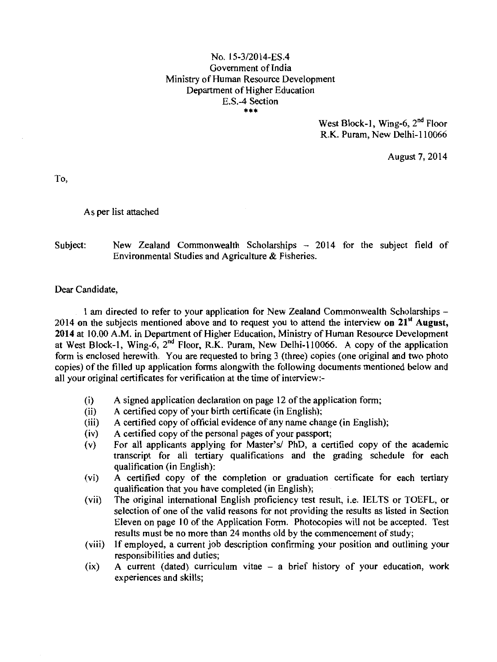# No. 15-3/2014-ES.4 Government of India Ministry of Human Resource Development Department of Higher Education E.S.-4 Section •••

West Block-1, Wing-6,  $2<sup>nd</sup>$  Floor R.K. Puram, New Delhi-110066

August 7, 2014

To,

# As per list attached

# Subject: New Zealand Commonwealth Scholarships - 2014 for the subject field of Environmental Studies and Agriculture & Fisheries.

Dear Candidate,

1 am directed to refer to your application for New Zealand Commonwealth Scholarships -2014 on the subjects mentioned above and to request you to attend the interview **on 21'' August, 2014** at 10.00 A.M. in Department of Higher Education, Ministry of Human Resource Development at West Block-1, Wing-6,  $2^{nd}$  Floor, R.K. Puram, New Delhi-110066. A copy of the application form is enclosed herewith. You are requested to bring 3 (three) copies (one original and two photo copies) of the filled up application forms alongwith the following documents mentioned below and all your original certificates for verification at the time of interview:-

- (i) A signed application declaration on page 12 of the application form;
- (ii) A certified copy of your birth certificate (in English);
- (iii) A certified copy of official evidence of any name change (in English);
- (iv) A certified copy of the personal pages of your passport;
- (v) For all applicants applying for Master's! PhD, a certified copy of the academic transcript for all tertiary qualifications and the grading schedule for each qualification (in English):
- (vi) A certified copy of the completion or graduation certificate for each tertiary qualification that you have completed (in English);
- (vii) The original international English proficiency test result, i.e. IELTS or TOEFL, or selection of one of the valid reasons for not providing the results as listed in Section Eleven on page 10 of the Application Form. Photocopies will not be accepted. Test results must be no more than 24 months old by the commencement of study;
- (viii) If employed, a current job description confirming your position and outlining your responsibilities and duties;
- (ix) A current (dated) curriculum vitae a brief history of your education, work experiences and skills;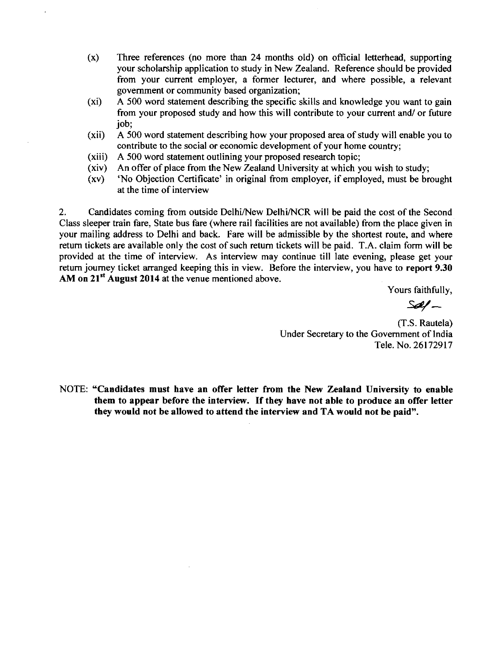- (x) Three references (no more than 24 months old) on official letterhead, supporting your scholarship application to study in New Zealand. Reference should be provided from your current employer, a former lecturer, and where possible, a relevant government or community based organization;
- (xi) A 500 word statement describing the specific skills and knowledge you want to gain from your proposed study and how this will contribute to your current and/ or future job;
- (xii) A 500 word statement describing how your proposed area of study will enable you to contribute to the social or economic development of your home country;
- (xiii) A 500 word statement outlining your proposed research topic;
- (xiv) An offer of place from the New Zealand University at which you wish to study;
- (xv) 'No Objection Certificate' in original from employer, if employed, must be brought at the time of interview

2. Candidates coming from outside Delhi/New Delhi/NCR will be paid the cost of the Second Class sleeper train fare, State bus fare (where rail facilities are not available) from the place given in your mailing address to Delhi and back. Fare will be admissible by the shortest route, and where return tickets are available only the cost of such return tickets will be paid. T.A. claim form will be provided at the time of interview. As interview may continue till late evening, please get your return journey ticket arranged keeping this in view. Before the interview, you have to **report 9.30 AM on 21'<sup>1</sup>August 2014** at the venue mentioned above.

Yours faithfully,

*St#-*

(T.S. Rautela) Under Secretary to the Government of India Tele. No. 26172917

NOTE: **"Candidates must have an offer letter from the New Zealand University to enable them to appear before the interview. If they have not able to produce an offer letter they would not be allowed to attend the interview and TA would not be paid".**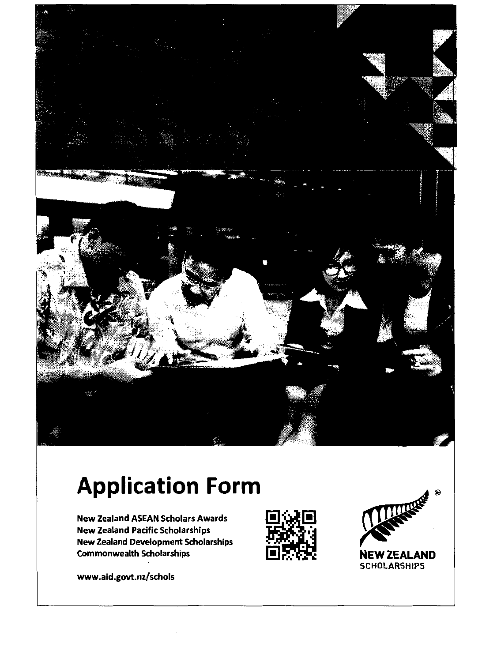

# **Application Form**

New Zealand ASEAN Scholars Awards New Zealand Pacific Scholarships New Zealand Development Scholarships Commonwealth Scholarships

www.aid.govt.nz/schols





**SCHOLARSHIPS**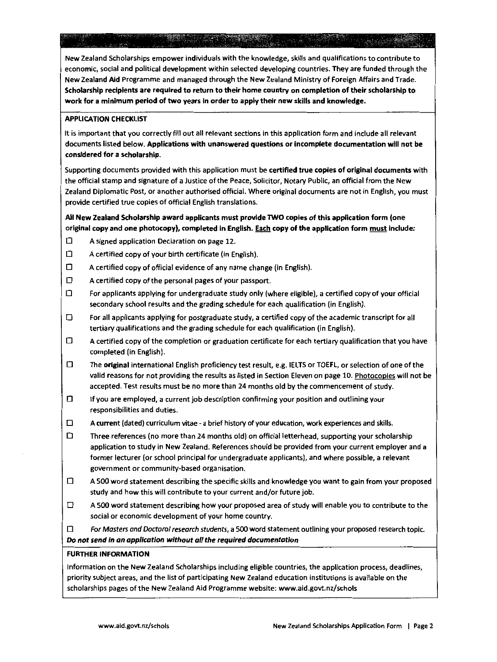**New Zealand Scholarships empower individuals with the knowledge, skills and qualifications to contribute to economic, social and political development within selected developing countries. They are funded through the**  New Zealand Aid Programme and managed through the New Zealand Ministry of Foreign Affairs and Trade. **Scholarship recipients are required to return to their home country on completion of their scholarship to**  work for a minimum period of two years in order to apply their new skills and knowledge.

### APPLICATION CHECKLIST

**It is important that you correctly fill out all relevant sections in this application form and include all relevant documents listed below. Applications with unanswered questions or incomplete documentation will not be considered for a scholarship.** 

**Supporting documents provided with this application must be certified true copies of original documents with the official stamp and signature of a Justice of the Peace, Solicitor, Notary Public, an official from the New Zealand Diplomatic Post, or another authorised official. Where original documents are not in English, you must provide certified true copies of official English translations.** 

# All New Zealand Scholarship award applicants must provide TWO copies of this application form (one original copy and one photocopy), completed in English. Each copy of the application form must include:

- **D A signed application Declaration on page 12.**
- $\Box$  A certified copy of your birth certificate (in English).
- $\Box$  A certified copy of official evidence of any name change (in English).
- $\Box$  A certified copy of the personal pages of your passport.
- $\Box$  For applicants applying for undergraduate study only (where eligible), a certified copy of your official secondary school results and the grading schedule for each qualification (in English).
- $\Box$  For all applicants applying for postgraduate study, a certified copy of the academic transcript for all tertiary qualifications and the grading schedule for each qualification (in English).
- **D A certified copy of the completion or graduation certificate for each tertiary qualification that you have**  completed (in English).
- $\Box$  The original international English proficiency test result, e.g. IELTS or TOEFL, or selection of one of the **valid reasons for not providing the results as listed in Section Eleven on page 10. Photocopies will not be**  accepted. Test results must be no more than 24 months old by the commencement of study.
- **D If you are employed, a current job description confirming your position and outlining your responsibilities and duties.**
- **D A current (dated) curriculum vitae- a brief history of your education, work experiences and skills.**
- **D Three references (no more than 24 months old) on official letterhead, supporting your scholarship application to study in New Zealand. References should be provided from your current employer and a**  former lecturer (or school principal for undergraduate applicants), and where possible, a relevant **government or community-based organisation.**
- $\Box$  A 500 word statement describing the specific skills and knowledge you want to gain from your proposed **study and how this will contribute to your current and/or future job.**
- $\Box$  A 500 word statement describing how your proposed area of study will enable you to contribute to the **social or economic development of your home country.**

**D** *For Masters and Doctoral research students,* **a 500 word statement outlining your proposed research topic.**  *Do not send in an application without all the required documentation* 

### FURTHER INFORMATION

**Information on the New Zealand Scholarships including eligible countries, the application process, deadlines, priority subject areas, and the list of participating New Zealand education institutions is available on the scholarships pages of the New Zealand Aid Programme website: www.aid.govt.nz/schols**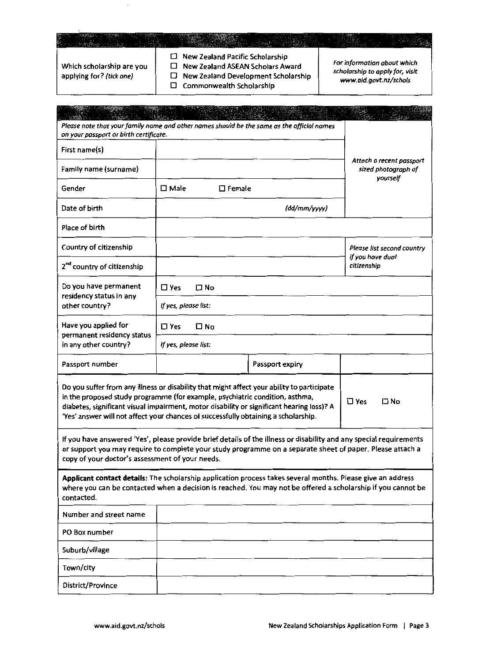| Which scholarship are you | New Zealand Pacific Scholarship<br>New Zealand ASEAN Scholars Award | For information about which |
|---------------------------|---------------------------------------------------------------------|-----------------------------|
|                           |                                                                     |                             |

applying for? (tick one)

D New Zealand Development Scholarship

D Commonwealth Scholarship

*scholarship to apply for, visit www.aid.govt.nz/schols* 

| 同盟会<br>sent.                                                                                                                                                                                                                                                                                                                                                  |                                                             |                  |                                                                                                                                                                                                                                 |                                 |  |
|---------------------------------------------------------------------------------------------------------------------------------------------------------------------------------------------------------------------------------------------------------------------------------------------------------------------------------------------------------------|-------------------------------------------------------------|------------------|---------------------------------------------------------------------------------------------------------------------------------------------------------------------------------------------------------------------------------|---------------------------------|--|
| Please note that your family name and other names should be the same as the official names<br>on your passport or birth certificate.                                                                                                                                                                                                                          |                                                             |                  |                                                                                                                                                                                                                                 |                                 |  |
| First name(s)                                                                                                                                                                                                                                                                                                                                                 |                                                             |                  |                                                                                                                                                                                                                                 |                                 |  |
| Family name (surname)                                                                                                                                                                                                                                                                                                                                         | Attach a recent passport<br>sized photograph of<br>yourself |                  |                                                                                                                                                                                                                                 |                                 |  |
| Gender                                                                                                                                                                                                                                                                                                                                                        | $\square$ Male                                              | $\square$ Female |                                                                                                                                                                                                                                 |                                 |  |
| Date of birth                                                                                                                                                                                                                                                                                                                                                 |                                                             |                  | (dd/mm/yyyy)                                                                                                                                                                                                                    |                                 |  |
| Place of birth                                                                                                                                                                                                                                                                                                                                                |                                                             |                  |                                                                                                                                                                                                                                 |                                 |  |
| Country of citizenship                                                                                                                                                                                                                                                                                                                                        |                                                             |                  |                                                                                                                                                                                                                                 | Please list second country      |  |
| 2 <sup>nd</sup> country of citizenship                                                                                                                                                                                                                                                                                                                        |                                                             |                  |                                                                                                                                                                                                                                 | if you have dual<br>citizenship |  |
| Do you have permanent                                                                                                                                                                                                                                                                                                                                         | $\square$ Yes                                               | $\square$ No     |                                                                                                                                                                                                                                 |                                 |  |
| residency status in any<br>other country?                                                                                                                                                                                                                                                                                                                     | If yes, please list:                                        |                  |                                                                                                                                                                                                                                 |                                 |  |
| Have you applied for                                                                                                                                                                                                                                                                                                                                          | $\square$ Yes                                               | $\square$ No     |                                                                                                                                                                                                                                 |                                 |  |
| permanent residency status<br>in any other country?                                                                                                                                                                                                                                                                                                           | If yes, please list:                                        |                  |                                                                                                                                                                                                                                 |                                 |  |
| Passport number                                                                                                                                                                                                                                                                                                                                               |                                                             |                  | Passport expiry                                                                                                                                                                                                                 |                                 |  |
| Do you suffer from any illness or disability that might affect your ability to participate<br>in the proposed study programme (for example, psychiatric condition, asthma,<br>diabetes, significant visual impairment, motor disability or significant hearing loss)? A<br>'Yes' answer will not affect your chances of successfully obtaining a scholarship. |                                                             |                  |                                                                                                                                                                                                                                 | $\square$ Yes<br>ΠNo            |  |
| copy of your doctor's assessment of your needs.                                                                                                                                                                                                                                                                                                               |                                                             |                  | If you have answered 'Yes', please provide brief details of the illness or disability and any special requirements<br>or support you may require to complete your study programme on a separate sheet of paper. Please attach a |                                 |  |
| Applicant contact details: The scholarship application process takes several months. Please give an address<br>where you can be contacted when a decision is reached. You may not be offered a scholarship if you cannot be<br>contacted.                                                                                                                     |                                                             |                  |                                                                                                                                                                                                                                 |                                 |  |
| Number and street name                                                                                                                                                                                                                                                                                                                                        |                                                             |                  |                                                                                                                                                                                                                                 |                                 |  |
| PO Box number                                                                                                                                                                                                                                                                                                                                                 |                                                             |                  |                                                                                                                                                                                                                                 |                                 |  |
| Suburb/village                                                                                                                                                                                                                                                                                                                                                |                                                             |                  |                                                                                                                                                                                                                                 |                                 |  |
| Town/city                                                                                                                                                                                                                                                                                                                                                     |                                                             |                  |                                                                                                                                                                                                                                 |                                 |  |
| District/Province                                                                                                                                                                                                                                                                                                                                             |                                                             |                  |                                                                                                                                                                                                                                 |                                 |  |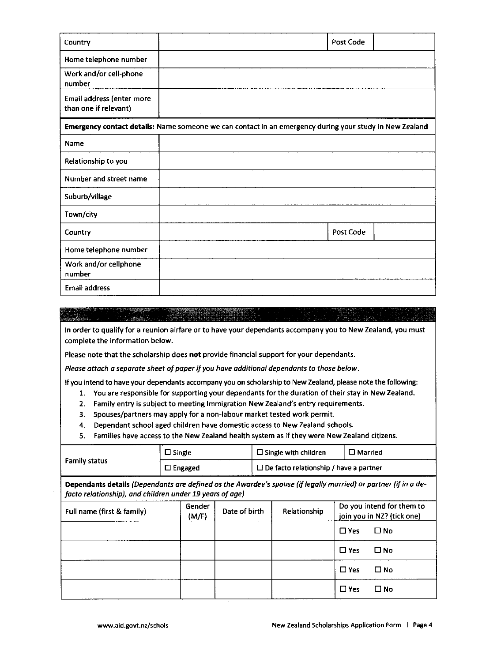| Country                                            | Post Code                                                                                               |  |
|----------------------------------------------------|---------------------------------------------------------------------------------------------------------|--|
| Home telephone number                              |                                                                                                         |  |
| Work and/or cell-phone<br>number                   |                                                                                                         |  |
| Email address (enter more<br>than one if relevant) |                                                                                                         |  |
|                                                    | Emergency contact details: Name someone we can contact in an emergency during your study in New Zealand |  |
| Name                                               |                                                                                                         |  |
| Relationship to you                                |                                                                                                         |  |
| Number and street name                             |                                                                                                         |  |
| Suburb/village                                     |                                                                                                         |  |
| Town/city                                          |                                                                                                         |  |
| Country                                            | Post Code                                                                                               |  |
| Home telephone number                              |                                                                                                         |  |
| Work and/or cellphone<br>number                    |                                                                                                         |  |
| <b>Email address</b>                               |                                                                                                         |  |

**In order to qualify for a reunion airfare or to have your dependants accompany you to New Zealand, you must complete the information below.** 

Please note that the scholarship does not provide financial support for your dependants.

*Please attach a separate sheet of paper if you have additional dependants to those below.* 

**If you intend to have your dependants accompany you on scholarship to New Zealand, please note the following:** 

- **1. You are responsible for supporting your dependants for the duration of their stay in New Zealand.**
- **2. Family entry is subject to meeting Immigration New Zealand's entry requirements.**
- **3. Spouses/partners may apply for a non-labour market tested work permit.**
- **4. Dependant school aged children have domestic access to New Zealand schools.**
- **5. Families have access to the New Zealand health system as if they were New Zealand citizens.**

|                                                                                                                                                                             | $\square$ Single<br>$\square$ Engaged |                 | $\Box$ Single with children |                                               | $\square$ Married |            |                                                         |
|-----------------------------------------------------------------------------------------------------------------------------------------------------------------------------|---------------------------------------|-----------------|-----------------------------|-----------------------------------------------|-------------------|------------|---------------------------------------------------------|
| <b>Family status</b>                                                                                                                                                        |                                       |                 |                             | $\Box$ De facto relationship / have a partner |                   |            |                                                         |
| Dependants details (Dependants are defined os the Awardee's spouse (if legally married) or partner (if in a de-<br>facto relationship), and children under 19 years of age) |                                       |                 |                             |                                               |                   |            |                                                         |
| Full name (first & family)                                                                                                                                                  |                                       | Gender<br>(M/F) | Date of birth               |                                               | Relationship      |            | Do you intend for them to<br>join you in NZ? (tick one) |
|                                                                                                                                                                             |                                       |                 |                             |                                               |                   | $\Box$ Yes | $\Box$ No                                               |
|                                                                                                                                                                             |                                       |                 |                             |                                               |                   | $\Box$ Yes | $\square$ No                                            |
|                                                                                                                                                                             |                                       |                 |                             |                                               |                   | $\Box$ Yes | $\square$ No                                            |
|                                                                                                                                                                             |                                       |                 |                             |                                               |                   | $\Box$ Yes | $\square$ No                                            |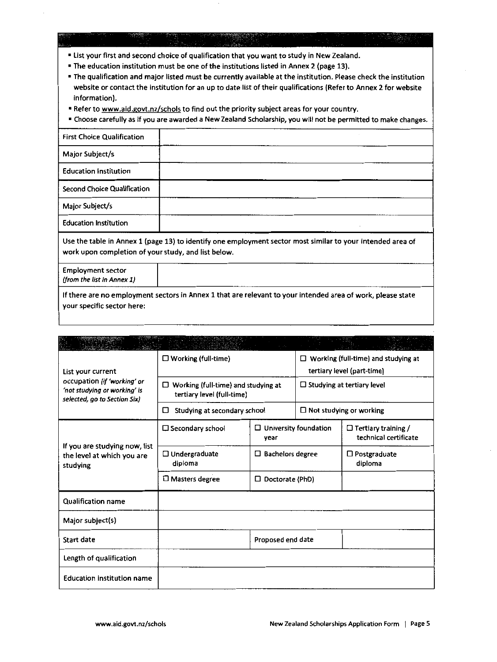• list your first and second choice of qualification that you want to study in New Zealand.

• The education institution must be one of the institutions listed in Annex 2 (page 13).

- The qualification and major listed must be currently available at the institution. Please check the institution website or contact the institution for an up to date list of their qualifications (Refer to Annex 2 for website information).
- **Refer to www.aid.govt.nz/schols to find out the priority subject areas for your country.**

• Choose carefully as if you are awarded a New Zealand Scholarship, you will not be permitted to make changes.

| <b>First Choice Qualification</b>                      |                                                                                                             |
|--------------------------------------------------------|-------------------------------------------------------------------------------------------------------------|
| Major Subject/s                                        |                                                                                                             |
| <b>Education Institution</b>                           |                                                                                                             |
| Second Choice Qualification                            |                                                                                                             |
| Major Subject/s                                        |                                                                                                             |
| <b>Education Institution</b>                           |                                                                                                             |
| work upon completion of your study, and list below.    | Use the table in Annex 1 (page 13) to identify one employment sector most similar to your intended area of  |
| <b>Employment sector</b><br>(from the list in Annex 1) |                                                                                                             |
|                                                        | If there are no employment sectors in Annex 1 that are relevant to your intended area of work, please state |

your specific sector here:

| List your current                                                                           | $\Box$ Working (full-time)                                               |                                      | Working (full-time) and studying at<br>$\Box$<br>tertiary level (part-time) |                                                     |
|---------------------------------------------------------------------------------------------|--------------------------------------------------------------------------|--------------------------------------|-----------------------------------------------------------------------------|-----------------------------------------------------|
| occupation (if 'working' or<br>'not studying or working' is<br>selected, go to Section Six) | $\Box$ Working (full-time) and studying at<br>tertiary level (full-time) |                                      | $\Box$ Studying at tertiary level                                           |                                                     |
|                                                                                             | Studying at secondary school<br>□                                        |                                      |                                                                             | $\Box$ Not studying or working                      |
|                                                                                             | □ Secondary school                                                       | $\Box$ University foundation<br>year |                                                                             | $\Box$ Tertiary training /<br>technical certificate |
| If you are studying now, list<br>the level at which you are<br>studying                     | $\square$ Undergraduate<br>diploma                                       | $\Box$ Bachelors degree              |                                                                             | $\Box$ Postgraduate<br>diploma                      |
|                                                                                             | $\square$ Masters degree                                                 | $\Box$ Doctorate (PhD)               |                                                                             |                                                     |
| <b>Qualification name</b>                                                                   |                                                                          |                                      |                                                                             |                                                     |
| Major subject(s)                                                                            |                                                                          |                                      |                                                                             |                                                     |
| <b>Start date</b>                                                                           |                                                                          | Proposed end date                    |                                                                             |                                                     |
| Length of qualification                                                                     |                                                                          |                                      |                                                                             |                                                     |
| <b>Education institution name</b>                                                           |                                                                          |                                      |                                                                             |                                                     |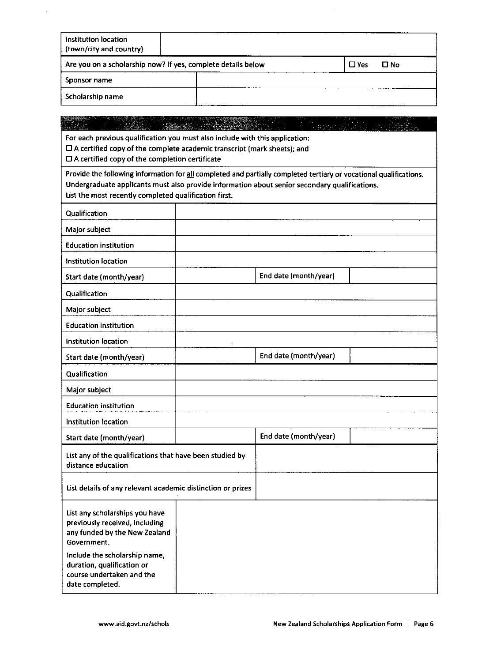| Institution location<br>(town/city and country)              |                       |
|--------------------------------------------------------------|-----------------------|
| Are you on a scholarship now? If yes, complete details below | $\square$ Yes<br>□ No |
| Sponsor name                                                 |                       |
| Scholarship name                                             |                       |

| 2. 特性                                                                                                              |                       |  |
|--------------------------------------------------------------------------------------------------------------------|-----------------------|--|
| For each previous qualification you must also include with this application:                                       |                       |  |
| $\square$ A certified copy of the complete academic transcript (mark sheets); and                                  |                       |  |
| $\square$ A certified copy of the completion certificate                                                           |                       |  |
| Provide the following information for all completed and partially completed tertiary or vocational qualifications. |                       |  |
| Undergraduate applicants must also provide information about senior secondary qualifications.                      |                       |  |
| List the most recently completed qualification first.                                                              |                       |  |
| Qualification                                                                                                      |                       |  |
| Major subject                                                                                                      |                       |  |
| <b>Education institution</b>                                                                                       |                       |  |
| Institution location                                                                                               |                       |  |
| Start date (month/year)                                                                                            | End date (month/year) |  |
| <b>Qualification</b>                                                                                               |                       |  |
| Major subject                                                                                                      |                       |  |
| <b>Education institution</b>                                                                                       |                       |  |
| <b>Institution location</b>                                                                                        |                       |  |
| Start date (month/year)                                                                                            | End date (month/year) |  |
| Qualification                                                                                                      |                       |  |
| Major subject                                                                                                      |                       |  |
| <b>Education institution</b>                                                                                       |                       |  |
| <b>Institution location</b>                                                                                        |                       |  |
| Start date (month/year)                                                                                            | End date (month/year) |  |
| List any of the qualifications that have been studied by<br>distance education                                     |                       |  |
| List details of any relevant academic distinction or prizes                                                        |                       |  |
| List any scholarships you have                                                                                     |                       |  |
| previously received, including                                                                                     |                       |  |
| any funded by the New Zealand<br>Government.                                                                       |                       |  |
| include the scholarship name,                                                                                      |                       |  |
| duration, qualification or                                                                                         |                       |  |
| course undertaken and the                                                                                          |                       |  |

date completed.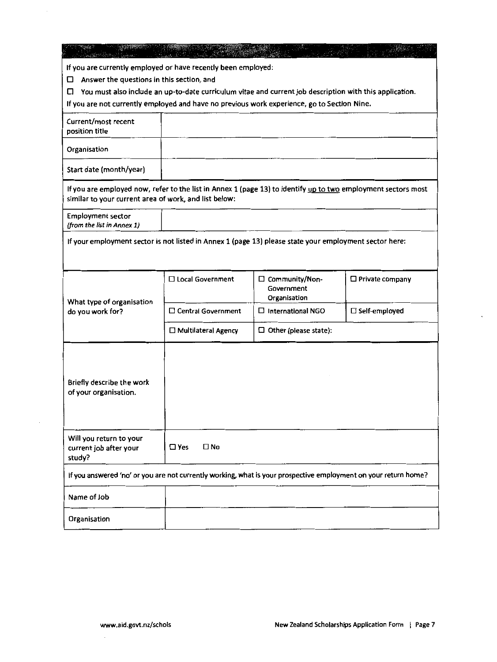| If you are currently employed or have recently been employed:<br>Answer the questions in this section, and<br>□<br>You must also include an up-to-date curriculum vitae and current job description with this application.<br>⊔<br>If you are not currently employed and have no previous work experience, go to Section Nine. |                               |                                                |                      |
|--------------------------------------------------------------------------------------------------------------------------------------------------------------------------------------------------------------------------------------------------------------------------------------------------------------------------------|-------------------------------|------------------------------------------------|----------------------|
| Current/most recent<br>position title                                                                                                                                                                                                                                                                                          |                               |                                                |                      |
| Organisation                                                                                                                                                                                                                                                                                                                   |                               |                                                |                      |
| Start date (month/year)                                                                                                                                                                                                                                                                                                        |                               |                                                |                      |
| If you are employed now, refer to the list in Annex 1 (page 13) to identify up to two employment sectors most<br>similar to your current area of work, and list below:                                                                                                                                                         |                               |                                                |                      |
| <b>Employment sector</b><br>(from the list in Annex 1)                                                                                                                                                                                                                                                                         |                               |                                                |                      |
| If your employment sector is not listed in Annex 1 (page 13) please state your employment sector here:                                                                                                                                                                                                                         |                               |                                                |                      |
| What type of organisation<br>do you work for?                                                                                                                                                                                                                                                                                  | $\Box$ Local Government       | □ Community/Non-<br>Government<br>Organisation | □ Private company    |
|                                                                                                                                                                                                                                                                                                                                | $\square$ Central Government  | $\Box$ International NGO                       | $\Box$ Self-employed |
|                                                                                                                                                                                                                                                                                                                                | $\Box$ Multilateral Agency    | $\Box$ Other (please state):                   |                      |
| Briefly describe the work<br>of your organisation.                                                                                                                                                                                                                                                                             |                               |                                                |                      |
| Will you return to your<br>current job after your<br>study?                                                                                                                                                                                                                                                                    | $\square$ Yes<br>$\square$ No |                                                |                      |
| If you answered 'no' or you are not currently working, what is your prospective employment on your return home?                                                                                                                                                                                                                |                               |                                                |                      |
| Name of Job                                                                                                                                                                                                                                                                                                                    |                               |                                                |                      |
| Organisation                                                                                                                                                                                                                                                                                                                   |                               |                                                |                      |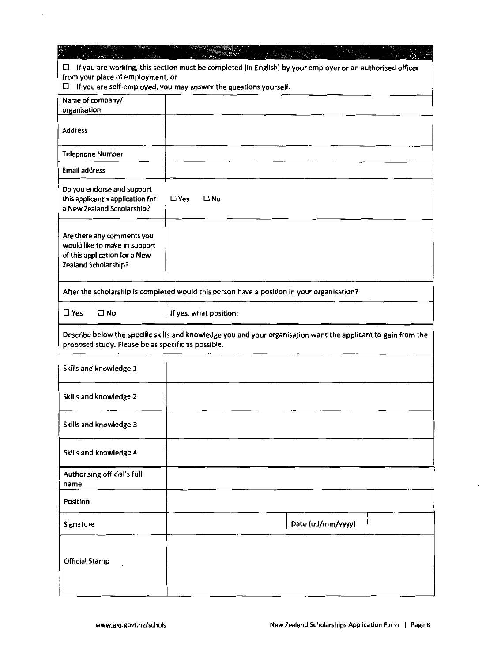| $\Box$ If you are working, this section must be completed (in English) by your employer or an authorised officer<br>from your place of employment, or<br>If you are self-employed, you may answer the questions yourself.<br>□ |                               |                   |  |
|--------------------------------------------------------------------------------------------------------------------------------------------------------------------------------------------------------------------------------|-------------------------------|-------------------|--|
| Name of company/<br>organisation                                                                                                                                                                                               |                               |                   |  |
| Address                                                                                                                                                                                                                        |                               |                   |  |
| <b>Telephone Number</b>                                                                                                                                                                                                        |                               |                   |  |
| <b>Email address</b>                                                                                                                                                                                                           |                               |                   |  |
| Do you endorse and support<br>this applicant's application for<br>a New Zealand Scholarship?                                                                                                                                   | $\square$ Yes<br>$\square$ No |                   |  |
| Are there any comments you<br>would like to make in support<br>of this application for a New<br>Zealand Scholarship?                                                                                                           |                               |                   |  |
| After the scholarship is completed would this person have a position in your organisation?                                                                                                                                     |                               |                   |  |
| $\square$ Yes<br>$\square$ No                                                                                                                                                                                                  | If yes, what position:        |                   |  |
| Describe below the specific skills and knowledge you and your organisation want the applicant to gain from the<br>proposed study. Please be as specific as possible.                                                           |                               |                   |  |
| Skills and knowledge 1                                                                                                                                                                                                         |                               |                   |  |
| Skills and knowledge 2                                                                                                                                                                                                         |                               |                   |  |
| Skills and knowledge 3                                                                                                                                                                                                         |                               |                   |  |
| Skills and knowledge 4                                                                                                                                                                                                         |                               |                   |  |
| Authorising official's full<br>name                                                                                                                                                                                            |                               |                   |  |
| Position                                                                                                                                                                                                                       |                               |                   |  |
| Signature                                                                                                                                                                                                                      |                               | Date (dd/mm/yyyy) |  |
| <b>Official Stamp</b>                                                                                                                                                                                                          |                               |                   |  |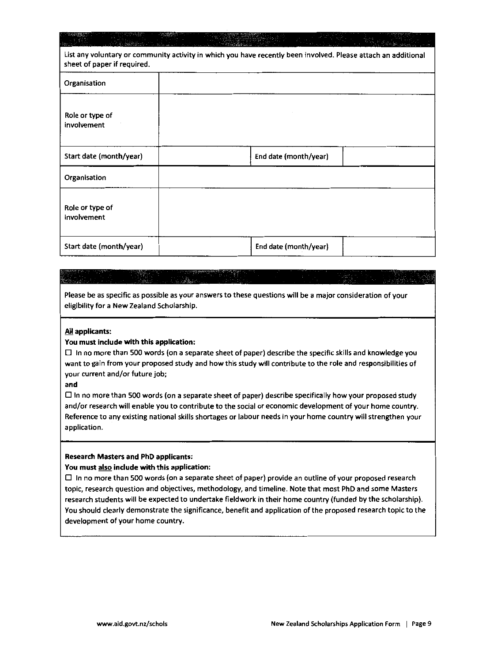| sheet of paper if required.    | List any voluntary or community activity in which you have recently been involved. Please attach an additional |  |
|--------------------------------|----------------------------------------------------------------------------------------------------------------|--|
| Organisation                   |                                                                                                                |  |
| Role or type of<br>involvement |                                                                                                                |  |
| Start date (month/year)        | End date (month/year)                                                                                          |  |
| Organisation                   |                                                                                                                |  |
| Role or type of<br>involvement |                                                                                                                |  |
| Start date (month/year)        | End date (month/year)                                                                                          |  |

# $\mathbf{x}$  .

**Please be as specific as possible as your answers to these questions will be a major consideration of your**  eligibility for a New Zealand Scholarship.

### All applicants:

### You must include with this application:

 $\square$  In no more than 500 words (on a separate sheet of paper) describe the specific skills and knowledge you **want to gain from your proposed study and how this study will contribute to the role and responsibilities of your current and/or future job;** 

and

 $\Box$  In no more than 500 words (on a separate sheet of paper) describe specifically how your proposed study **and/or research will enable you to contribute to the social or economic development of your home country. Reference to any existing national skills shortages or labour needs in your home country will strengthen your application.** 

### Research Masters and PhD applicants:

### **You must also include with this application:**

**0 In no more than 500 words (on a separate sheet of paper) provide an outline of your proposed research topic, research question and objectives, methodology, and timeline. Note that most PhD and some Masters**  research students will be expected to undertake fieldwork in their home country (funded by the scholarship). You should clearly demonstrate the significance, benefit and application of the proposed research topic to the **development of your home country.**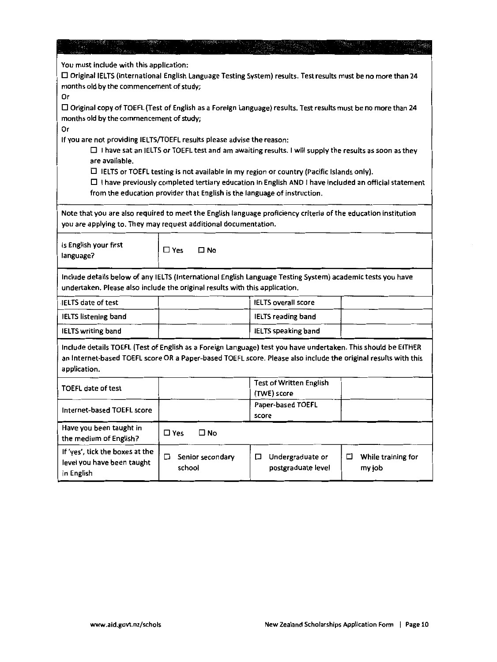| You must include with this application:<br>$\Box$ Original IELTS (International English Language Testing System) results. Test results must be no more than 24<br>months old by the commencement of study;<br>Or                                                                         |                                 |                                               |                                   |
|------------------------------------------------------------------------------------------------------------------------------------------------------------------------------------------------------------------------------------------------------------------------------------------|---------------------------------|-----------------------------------------------|-----------------------------------|
| □ Original copy of TOEFL (Test of English as a Foreign Language) results. Test results must be no more than 24<br>months old by the commencement of study;<br>Or                                                                                                                         |                                 |                                               |                                   |
| If you are not providing IELTS/TOEFL results please advise the reason:<br>$\Box$ I have sat an IELTS or TOEFL test and am awaiting results. I will supply the results as soon as they<br>are available.                                                                                  |                                 |                                               |                                   |
| $\Box$ IELTS or TOEFL testing is not available in my region or country (Pacific Islands only).<br>$\Box$ I have previously completed tertiary education in English AND I have included an official statement<br>from the education provider that English is the language of instruction. |                                 |                                               |                                   |
| Note that you are also required to meet the English language proficiency criteria of the education institution<br>you are applying to. They may request additional documentation.                                                                                                        |                                 |                                               |                                   |
| is English your first<br>language?                                                                                                                                                                                                                                                       | $\square$ No<br>$\Box$ Yes      |                                               |                                   |
| Include details below of any IELTS (International English Language Testing System) academic tests you have<br>undertaken. Please also include the original results with this application.                                                                                                |                                 |                                               |                                   |
| <b>IELTS</b> date of test                                                                                                                                                                                                                                                                |                                 | <b>IELTS</b> overall score                    |                                   |
| <b>IELTS listening band</b>                                                                                                                                                                                                                                                              |                                 | <b>IELTS reading band</b>                     |                                   |
| <b>IELTS writing band</b>                                                                                                                                                                                                                                                                |                                 | <b>IELTS</b> speaking band                    |                                   |
| Include details TOEFL (Test of English as a Foreign Language) test you have undertaken. This should be EITHER<br>an Internet-based TOEFL score OR a Paper-based TOEFL score. Please also include the original results with this<br>application.                                          |                                 |                                               |                                   |
| <b>TOEFL date of test</b>                                                                                                                                                                                                                                                                |                                 | <b>Test of Written English</b><br>(TWE) score |                                   |
| Internet-based TOEFL score                                                                                                                                                                                                                                                               |                                 | Paper-based TOEFL<br>score                    |                                   |
| Have you been taught in<br>the medium of English?                                                                                                                                                                                                                                        | $\square$ Yes<br>$\square$ No   |                                               |                                   |
| If 'yes', tick the boxes at the<br>level you have been taught<br>in English                                                                                                                                                                                                              | □<br>Senior secondary<br>school | □<br>Undergraduate or<br>postgraduate level   | While training for<br>□<br>my job |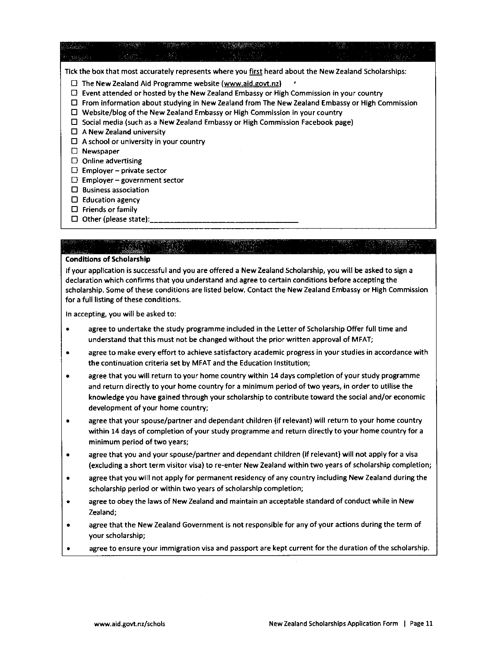|           |                                        | Tick the box that most accurately represents where you first heard about the New Zealand Scholarships: |  |
|-----------|----------------------------------------|--------------------------------------------------------------------------------------------------------|--|
|           |                                        | $\Box$ The New Zealand Aid Programme website (www.aid.govt.nz)                                         |  |
| ⊔         |                                        | Event attended or hosted by the New Zealand Embassy or High Commission in your country                 |  |
|           |                                        | From information about studying in New Zealand from The New Zealand Embassy or High Commission         |  |
| □         |                                        | Website/blog of the New Zealand Embassy or High Commission in your country                             |  |
|           |                                        | Social media (such as a New Zealand Embassy or High Commission Facebook page)                          |  |
|           | A New Zealand university               |                                                                                                        |  |
|           | A school or university in your country |                                                                                                        |  |
| Newspaper |                                        |                                                                                                        |  |
|           | Online advertising                     |                                                                                                        |  |
| ◡         | Employer – private sector              |                                                                                                        |  |
| O.        | $Emplover-government sector$           |                                                                                                        |  |
|           | <b>Business association</b>            |                                                                                                        |  |
| ப         | <b>Education agency</b>                |                                                                                                        |  |
| ப         | Friends or family                      |                                                                                                        |  |
|           | Other (please state):                  |                                                                                                        |  |

### Conditions of Scholarship

If your application is successful and you are offered a New Zealand Scholarship, you will be asked to sign a declaration which confirms that you understand and agree to certain conditions before accepting the scholarship. Some of these conditions are listed below. Contact the New Zealand Embassy or High Commission for a full listing of these conditions.

In accepting, you will be asked to:

- agree to undertake the study programme included in the Letter of Scholarship Offer full time and understand that this must not be changed without the prior written approval of MFAT;
- agree to make every effort to achieve satisfactory academic progress in your studies in accordance with the continuation criteria set by MFAT and the Education Institution;
- agree that you will return to your home country within 14 days completion of your study programme and return directly to your home country for a minimum period of two years, in order to utilise the knowledge you have gained through your scholarship to contribute toward the social and/or economic development of your home country;
- agree that your spouse/partner and dependant children (if relevant} will return to your home country within 14 days of completion of your study programme and return directly to your home country for a minimum period of two years;
- agree that you and your spouse/partner and dependant children (if relevant) will not apply for a visa (excluding a short term visitor visa) to re-enter New Zealand within two years of scholarship completion;
- agree that you will not apply for permanent residency of any country including New Zealand during the scholarship period or within two years of scholarship completion;
- agree to obey the laws of New Zealand and maintain an acceptable standard of conduct while in New Zealand;
- agree that the New Zealand Government is not responsible for any of your actions during the term of your scholarship;
- agree to ensure your immigration visa and passport are kept current for the duration of the scholarship.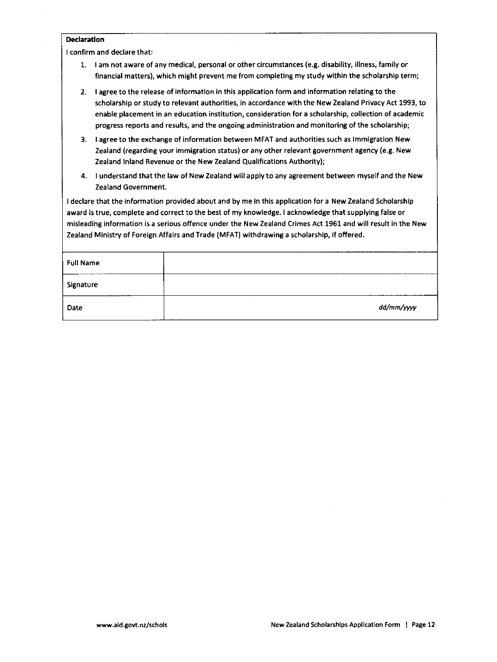### Declaration

l confirm and declare that:

- 1. I am not aware of any medical, personal or other circumstances (e.g. disability, illness, family or financial matters), which might prevent me from completing my study within the scholarship term;
- 2. I agree to the release of information in this application form and information relating to the scholarship or study to relevant authorities, in accordance with the New Zealand Privacy Act 1993, to enable placement in an education institution, consideration for a scholarship, collection of academic progress reports and results, and the ongoing administration and monitoring of the scholarship;
- 3. I agree to the exchange of information between MFAT and authorities such as Immigration New Zealand (regarding your immigration status) or any other relevant government agency (e.g. New Zealand Inland Revenue or the New Zealand Qualifications Authority);
- 4. I understand that the law of New Zealand will apply to any agreement between myself and the New Zealand Government.

I declare that the information provided about and by me in this application for a New Zealand Scholarship award is true, complete and correct to the best of my knowledge. I acknowledge that supplying false or misleading information is a serious offence under the New Zealand Crimes Act 1961 and will result in the New Zealand Ministry of Foreign Affairs and Trade (MFAT) withdrawing a scholarship, if offered.

| dd/mm/yyyy |
|------------|
|            |